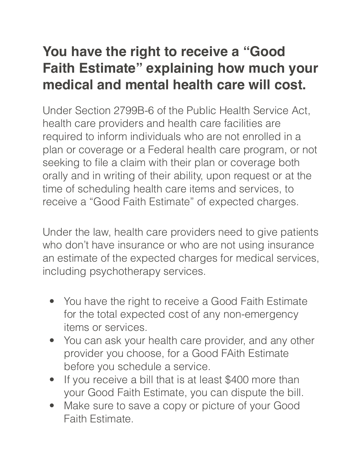## **You have the right to receive a "Good Faith Estimate" explaining how much your medical and mental health care will cost.**

Under Section 2799B-6 of the Public Health Service Act, health care providers and health care facilities are required to inform individuals who are not enrolled in a plan or coverage or a Federal health care program, or not seeking to file a claim with their plan or coverage both orally and in writing of their ability, upon request or at the time of scheduling health care items and services, to receive a "Good Faith Estimate" of expected charges.

Under the law, health care providers need to give patients who don't have insurance or who are not using insurance an estimate of the expected charges for medical services, including psychotherapy services.

- You have the right to receive a Good Faith Estimate for the total expected cost of any non-emergency items or services.
- You can ask your health care provider, and any other provider you choose, for a Good FAith Estimate before you schedule a service.
- If you receive a bill that is at least \$400 more than your Good Faith Estimate, you can dispute the bill.
- Make sure to save a copy or picture of your Good Faith Estimate.